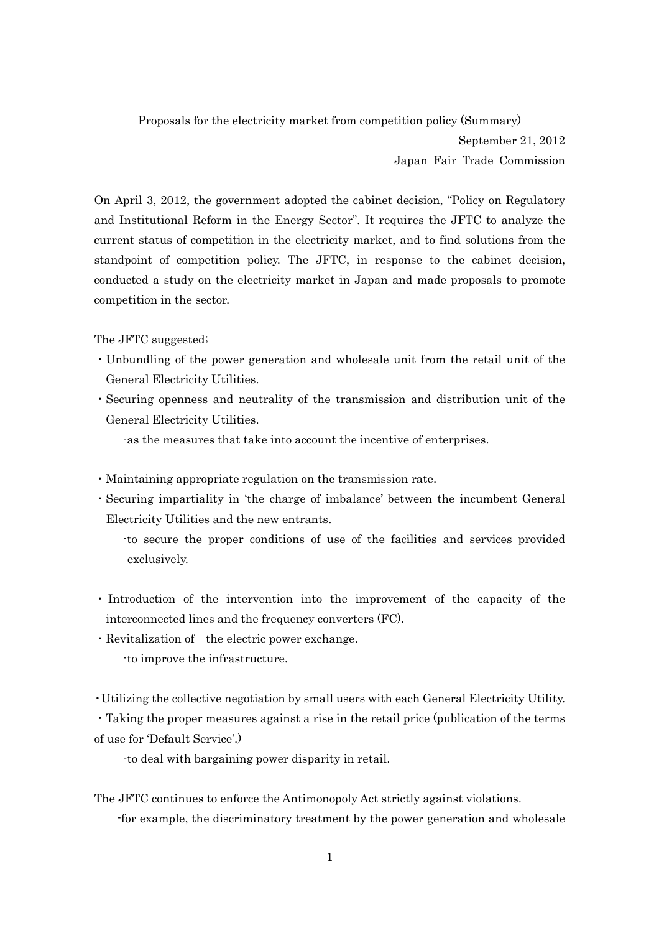Proposals for the electricity market from competition policy (Summary) September 21, 2012 Japan Fair Trade Commission

On April 3, 2012, the government adopted the cabinet decision, "Policy on Regulatory and Institutional Reform in the Energy Sector". It requires the JFTC to analyze the current status of competition in the electricity market, and to find solutions from the standpoint of competition policy. The JFTC, in response to the cabinet decision, conducted a study on the electricity market in Japan and made proposals to promote competition in the sector.

The JFTC suggested;

- ・Unbundling of the power generation and wholesale unit from the retail unit of the General Electricity Utilities.
- ・Securing openness and neutrality of the transmission and distribution unit of the General Electricity Utilities.

-as the measures that take into account the incentive of enterprises.

- ・Maintaining appropriate regulation on the transmission rate.
- ・Securing impartiality in 'the charge of imbalance' between the incumbent General Electricity Utilities and the new entrants.
	- -to secure the proper conditions of use of the facilities and services provided exclusively.
- ・ Introduction of the intervention into the improvement of the capacity of the interconnected lines and the frequency converters (FC).
- ・Revitalization of the electric power exchange. -to improve the infrastructure.

・Utilizing the collective negotiation by small users with each General Electricity Utility.

・Taking the proper measures against a rise in the retail price (publication of the terms of use for 'Default Service'.)

-to deal with bargaining power disparity in retail.

The JFTC continues to enforce the Antimonopoly Act strictly against violations. -for example, the discriminatory treatment by the power generation and wholesale